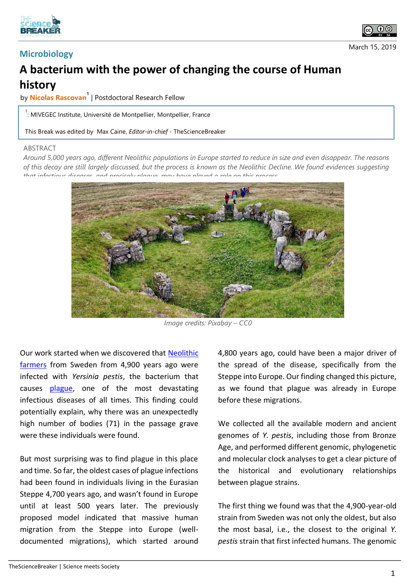





## **A bacterium with the power of changing the course of Human history**

by **Nicolas Rascovan<sup>1</sup>** | Postdoctoral Research Fellow

<sup>1</sup>: MIVEGEC Institute, Université de Montpellier, Montpellier, France

This Break was edited by Max Caine, *Editor-in-chief* - TheScienceBreaker

## ABSTRACT

*Around 5,000 years ago, different Neolithic populations in Europe started to reduce in size and even disappear. The reasons of this decay are still largely discussed, but the process is known as the Neolithic Decline. We found evidences suggesting that infectious diseases, and precisely plague, may have played a role on this process.*



*Image credits: Pixabay – CC0*

Our work started when we discovered that [Neolithic](https://en.wikipedia.org/wiki/Neolithic)  [farmers](https://en.wikipedia.org/wiki/Neolithic) from Sweden from 4,900 years ago were infected with *Yersinia pestis*, the bacterium that causes [plague,](https://en.wikipedia.org/wiki/Plague_(disease)) one of the most devastating infectious diseases of all times. This finding could potentially explain, why there was an unexpectedly high number of bodies (71) in the passage grave were these individuals were found.

But most surprising was to find plague in this place and time. So far, the oldest cases of plague infections had been found in individuals living in the Eurasian Steppe 4,700 years ago, and wasn't found in Europe until at least 500 years later. The previously proposed model indicated that massive human migration from the Steppe into Europe (welldocumented migrations), which started around 4,800 years ago, could have been a major driver of the spread of the disease, specifically from the Steppe into Europe. Our finding changed this picture, as we found that plague was already in Europe before these migrations.

We collected all the available modern and ancient genomes of *Y. pestis*, including those from Bronze Age, and performed different genomic, phylogenetic and molecular clock analyses to get a clear picture of the historical and evolutionary relationships between plague strains.

The first thing we found was that the 4,900-year-old strain from Sweden was not only the oldest, but also the most basal, i.e., the closest to the original *Y. pestis* strain that first infected humans. The genomic